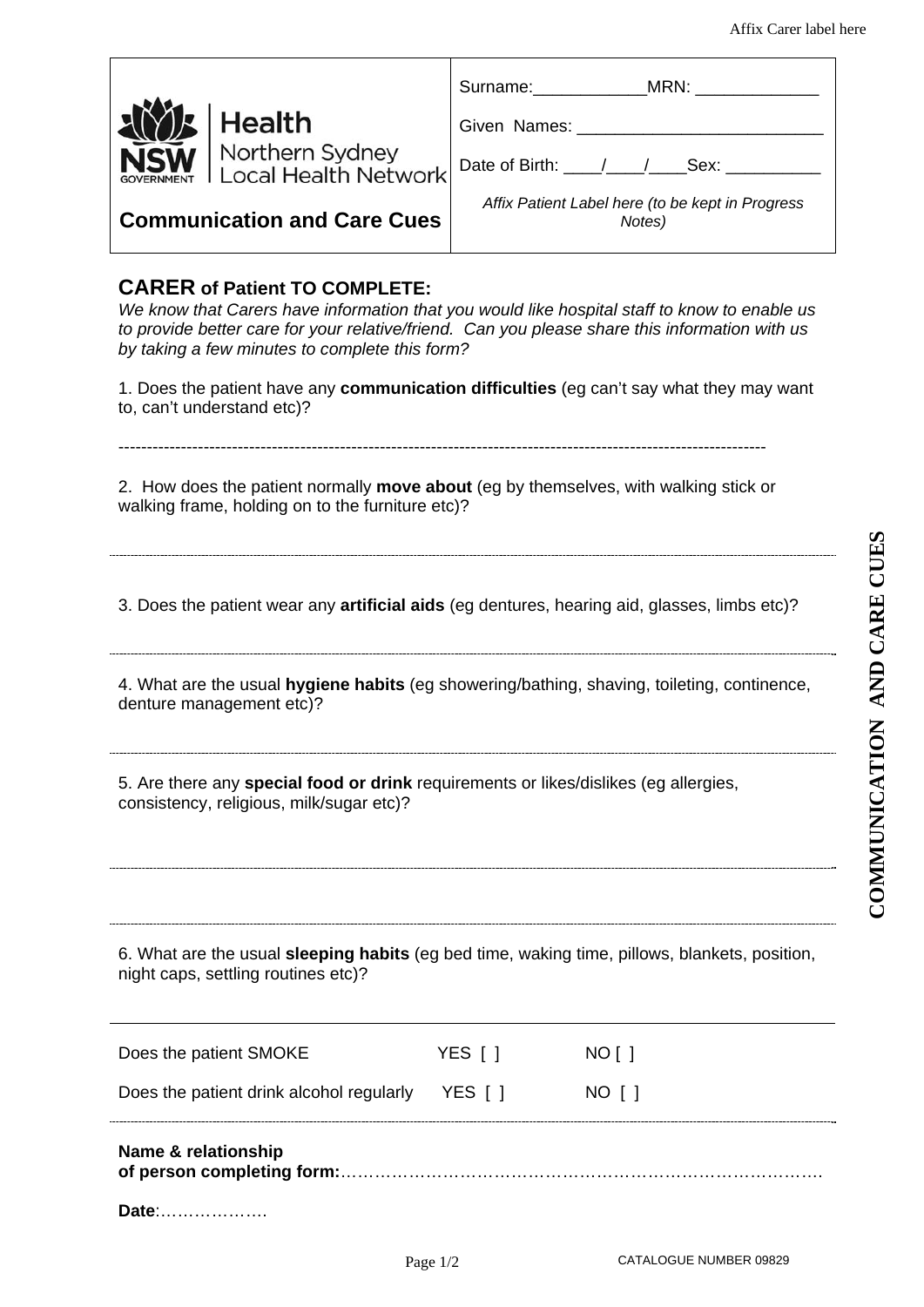|                                                                                                                                           | Surname: MRN:                                              |  |  |  |
|-------------------------------------------------------------------------------------------------------------------------------------------|------------------------------------------------------------|--|--|--|
| Health                                                                                                                                    |                                                            |  |  |  |
| <b>SW</b> Northern Sydney<br><b>Local Health Network</b>                                                                                  |                                                            |  |  |  |
| <b>Communication and Care Cues</b>                                                                                                        | Affix Patient Label here (to be kept in Progress<br>Notes) |  |  |  |
| <b>CARER of Patient TO COMPLETE:</b><br>Ula lugan that Osmana hana information that non montal life begainted atall to lugan to smakle no |                                                            |  |  |  |

*We know that Carers have information that you would like hospital staff to know to enable us to provide better care for your relative/friend. Can you please share this information with us by taking a few minutes to complete this form?*

1. Does the patient have any **communication difficulties** (eg can't say what they may want to, can't understand etc)?

2. How does the patient normally **move about** (eg by themselves, with walking stick or walking frame, holding on to the furniture etc)?

------------------------------------------------------------------------------------------------------------------

3. Does the patient wear any **artificial aids** (eg dentures, hearing aid, glasses, limbs etc)?

4. What are the usual **hygiene habits** (eg showering/bathing, shaving, toileting, continence, denture management etc)?

5. Are there any **special food or drink** requirements or likes/dislikes (eg allergies, consistency, religious, milk/sugar etc)?

6. What are the usual **sleeping habits** (eg bed time, waking time, pillows, blankets, position, night caps, settling routines etc)?

| Does the patient SMOKE                   | YES [ ] | NO [ ] |
|------------------------------------------|---------|--------|
| Does the patient drink alcohol regularly | YES I 1 | NO I 1 |
| Name & relationship                      |         |        |

| Date: |  |  |  |
|-------|--|--|--|
|-------|--|--|--|